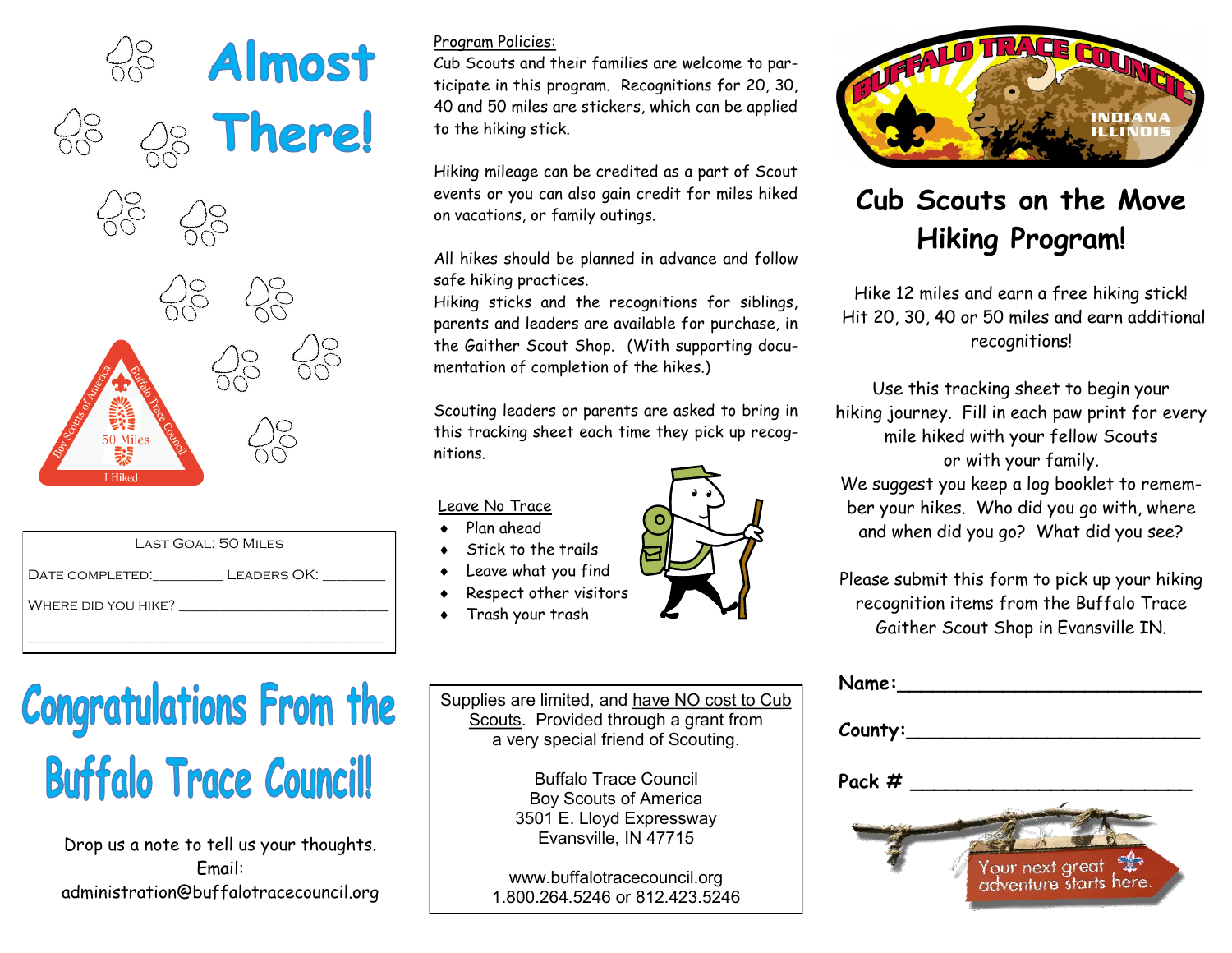

| LAST GOAL: 50 MILES         |
|-----------------------------|
| DATE COMPLETED. LEADERS OK: |
| WHERE DID YOU HIKE?         |
|                             |

## **Congratulations From the Buffalo Trace Council!**

Drop us a note to tell us your thoughts. Email: administration@buffalotracecouncil.org

## Program Policies:

Cub Scouts and their families are welcome to participate in this program. Recognitions for 20, 30, 40 and 50 miles are stickers, which can be applied to the hiking stick.

Hiking mileage can be credited as a part of Scout events or you can also gain credit for miles hiked on vacations, or family outings.

All hikes should be planned in advance and follow safe hiking practices.

Hiking sticks and the recognitions for siblings, parents and leaders are available for purchase, in the Gaither Scout Shop. (With supporting documentation of completion of the hikes.)

Scouting leaders or parents are asked to bring in this tracking sheet each time they pick up recognitions.

Leave No Trace

- Plan ahead
- Stick to the trails
- Leave what you find
- Respect other visitors
- Trash your trash

Supplies are limited, and have NO cost to Cub Scouts. Provided through a grant from a very special friend of Scouting.

> Buffalo Trace Council Boy Scouts of America 3501 E. Lloyd Expressway Evansville, IN 47715

www.buffalotracecouncil.org 1.800.264.5246 or 812.423.5246



## **Cub Scouts on the Move Hiking Program!**

Hike 12 miles and earn a free hiking stick! Hit 20, 30, 40 or 50 miles and earn additional recognitions!

Use this tracking sheet to begin your hiking journey. Fill in each paw print for every mile hiked with your fellow Scouts or with your family.

We suggest you keep a log booklet to remember your hikes. Who did you go with, where and when did you go? What did you see?

Please submit this form to pick up your hiking recognition items from the Buffalo Trace Gaither Scout Shop in Evansville IN.

| Name:             |                                                                     |
|-------------------|---------------------------------------------------------------------|
|                   |                                                                     |
| $C$ ounty: $\_\_$ |                                                                     |
| Pack $#$          |                                                                     |
|                   |                                                                     |
|                   |                                                                     |
|                   | Your next great and your next great and your adventure starts here. |
|                   |                                                                     |